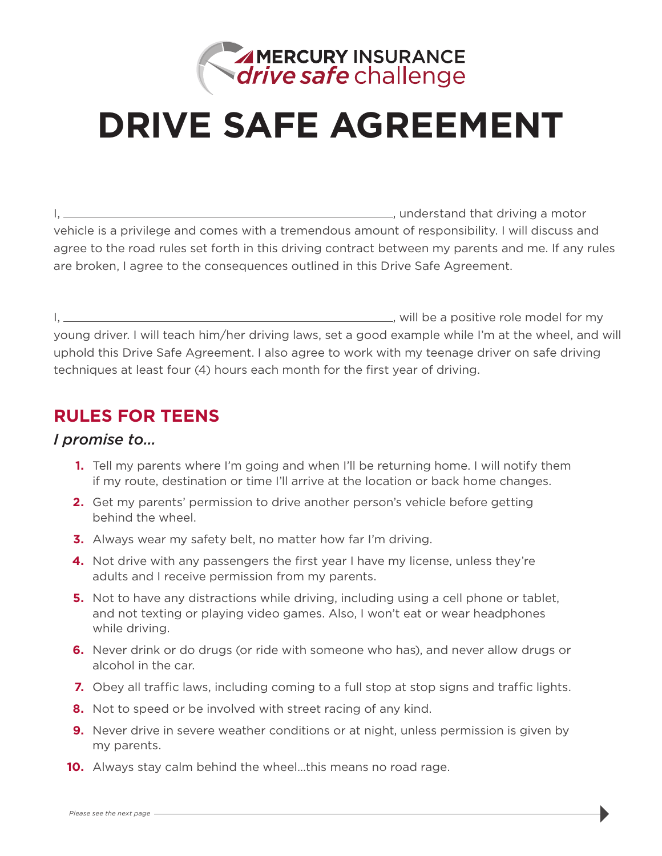

# **DRIVE SAFE AGREEMENT**

I, , understand that driving a motor vehicle is a privilege and comes with a tremendous amount of responsibility. I will discuss and agree to the road rules set forth in this driving contract between my parents and me. If any rules are broken, I agree to the consequences outlined in this Drive Safe Agreement.

I, , will be a positive role model for my young driver. I will teach him/her driving laws, set a good example while I'm at the wheel, and will uphold this Drive Safe Agreement. I also agree to work with my teenage driver on safe driving techniques at least four (4) hours each month for the first year of driving.

### **RULES FOR TEENS**

#### *I promise to…*

- **1.** Tell my parents where I'm going and when I'll be returning home. I will notify them if my route, destination or time I'll arrive at the location or back home changes.
- **2.** Get my parents' permission to drive another person's vehicle before getting behind the wheel.
- **3.** Always wear my safety belt, no matter how far I'm driving.
- **4.** Not drive with any passengers the first year I have my license, unless they're adults and I receive permission from my parents.
- **5.** Not to have any distractions while driving, including using a cell phone or tablet, and not texting or playing video games. Also, I won't eat or wear headphones while driving.
- **6.** Never drink or do drugs (or ride with someone who has), and never allow drugs or alcohol in the car.
- **7.** Obey all traffic laws, including coming to a full stop at stop signs and traffic lights.
- **8.** Not to speed or be involved with street racing of any kind.
- **9.** Never drive in severe weather conditions or at night, unless permission is given by my parents.
- **10.** Always stay calm behind the wheel…this means no road rage.